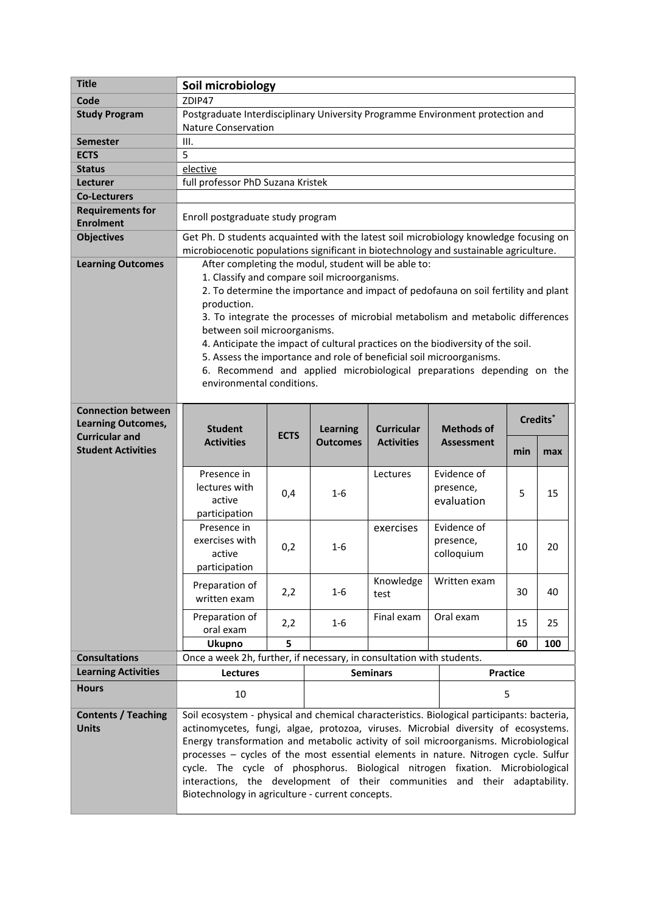| <b>Title</b>                                | Soil microbiology                                                                                                                                                                          |             |                                    |                                        |                                                                                                                                                         |                 |     |  |
|---------------------------------------------|--------------------------------------------------------------------------------------------------------------------------------------------------------------------------------------------|-------------|------------------------------------|----------------------------------------|---------------------------------------------------------------------------------------------------------------------------------------------------------|-----------------|-----|--|
| Code                                        | ZDIP47                                                                                                                                                                                     |             |                                    |                                        |                                                                                                                                                         |                 |     |  |
| <b>Study Program</b>                        | Postgraduate Interdisciplinary University Programme Environment protection and<br><b>Nature Conservation</b>                                                                               |             |                                    |                                        |                                                                                                                                                         |                 |     |  |
| <b>Semester</b>                             | III.                                                                                                                                                                                       |             |                                    |                                        |                                                                                                                                                         |                 |     |  |
| <b>ECTS</b>                                 | 5                                                                                                                                                                                          |             |                                    |                                        |                                                                                                                                                         |                 |     |  |
| <b>Status</b>                               | elective                                                                                                                                                                                   |             |                                    |                                        |                                                                                                                                                         |                 |     |  |
| Lecturer                                    | full professor PhD Suzana Kristek                                                                                                                                                          |             |                                    |                                        |                                                                                                                                                         |                 |     |  |
| <b>Co-Lecturers</b>                         |                                                                                                                                                                                            |             |                                    |                                        |                                                                                                                                                         |                 |     |  |
| <b>Requirements for</b><br><b>Enrolment</b> | Enroll postgraduate study program                                                                                                                                                          |             |                                    |                                        |                                                                                                                                                         |                 |     |  |
| <b>Objectives</b>                           | Get Ph. D students acquainted with the latest soil microbiology knowledge focusing on                                                                                                      |             |                                    |                                        |                                                                                                                                                         |                 |     |  |
|                                             | microbiocenotic populations significant in biotechnology and sustainable agriculture.                                                                                                      |             |                                    |                                        |                                                                                                                                                         |                 |     |  |
| <b>Learning Outcomes</b>                    | After completing the modul, student will be able to:<br>1. Classify and compare soil microorganisms.<br>2. To determine the importance and impact of pedofauna on soil fertility and plant |             |                                    |                                        |                                                                                                                                                         |                 |     |  |
|                                             |                                                                                                                                                                                            |             |                                    |                                        |                                                                                                                                                         |                 |     |  |
|                                             | production.                                                                                                                                                                                |             |                                    |                                        |                                                                                                                                                         |                 |     |  |
|                                             |                                                                                                                                                                                            |             |                                    |                                        | 3. To integrate the processes of microbial metabolism and metabolic differences                                                                         |                 |     |  |
|                                             | between soil microorganisms.                                                                                                                                                               |             |                                    |                                        |                                                                                                                                                         |                 |     |  |
|                                             |                                                                                                                                                                                            |             |                                    |                                        | 4. Anticipate the impact of cultural practices on the biodiversity of the soil.<br>5. Assess the importance and role of beneficial soil microorganisms. |                 |     |  |
|                                             |                                                                                                                                                                                            |             |                                    |                                        | 6. Recommend and applied microbiological preparations depending on the                                                                                  |                 |     |  |
|                                             | environmental conditions.                                                                                                                                                                  |             |                                    |                                        |                                                                                                                                                         |                 |     |  |
|                                             |                                                                                                                                                                                            |             |                                    |                                        |                                                                                                                                                         |                 |     |  |
| <b>Connection between</b>                   |                                                                                                                                                                                            |             |                                    |                                        |                                                                                                                                                         |                 |     |  |
| <b>Learning Outcomes,</b>                   | Credits <sup>*</sup>                                                                                                                                                                       |             |                                    |                                        |                                                                                                                                                         |                 |     |  |
| <b>Curricular and</b>                       | <b>Student</b><br><b>Activities</b>                                                                                                                                                        | <b>ECTS</b> | <b>Learning</b><br><b>Outcomes</b> | <b>Curricular</b><br><b>Activities</b> | <b>Methods of</b><br><b>Assessment</b>                                                                                                                  |                 |     |  |
| <b>Student Activities</b>                   |                                                                                                                                                                                            |             |                                    |                                        |                                                                                                                                                         | min             | max |  |
|                                             |                                                                                                                                                                                            |             |                                    |                                        |                                                                                                                                                         |                 |     |  |
|                                             |                                                                                                                                                                                            |             |                                    |                                        |                                                                                                                                                         |                 |     |  |
|                                             | Presence in                                                                                                                                                                                |             |                                    | Lectures                               | Evidence of                                                                                                                                             |                 |     |  |
|                                             | lectures with                                                                                                                                                                              | 0,4         | $1 - 6$                            |                                        | presence,                                                                                                                                               | 5               | 15  |  |
|                                             | active                                                                                                                                                                                     |             |                                    |                                        | evaluation                                                                                                                                              |                 |     |  |
|                                             | participation                                                                                                                                                                              |             |                                    |                                        |                                                                                                                                                         |                 |     |  |
|                                             | Presence in                                                                                                                                                                                |             |                                    | exercises                              | Evidence of                                                                                                                                             |                 |     |  |
|                                             | exercises with                                                                                                                                                                             | 0,2         | 1-6                                |                                        | presence,                                                                                                                                               | 10              | 20  |  |
|                                             | active                                                                                                                                                                                     |             |                                    |                                        | colloquium                                                                                                                                              |                 |     |  |
|                                             | participation                                                                                                                                                                              |             |                                    |                                        | Written exam                                                                                                                                            |                 |     |  |
|                                             | Preparation of                                                                                                                                                                             | 2,2         | $1 - 6$                            | Knowledge<br>test                      |                                                                                                                                                         | 30              | 40  |  |
|                                             | written exam                                                                                                                                                                               |             |                                    |                                        |                                                                                                                                                         |                 |     |  |
|                                             | Preparation of                                                                                                                                                                             | 2,2         | $1 - 6$                            | Final exam                             | Oral exam                                                                                                                                               | 15              | 25  |  |
|                                             | oral exam                                                                                                                                                                                  |             |                                    |                                        |                                                                                                                                                         |                 |     |  |
|                                             | <b>Ukupno</b>                                                                                                                                                                              | 5           |                                    |                                        |                                                                                                                                                         | 60              | 100 |  |
| <b>Consultations</b>                        | Once a week 2h, further, if necessary, in consultation with students.                                                                                                                      |             |                                    |                                        |                                                                                                                                                         |                 |     |  |
| <b>Learning Activities</b>                  | <b>Lectures</b>                                                                                                                                                                            |             |                                    | <b>Seminars</b>                        |                                                                                                                                                         | <b>Practice</b> |     |  |
| <b>Hours</b>                                | 10                                                                                                                                                                                         |             |                                    |                                        |                                                                                                                                                         | 5               |     |  |
| <b>Contents / Teaching</b>                  | Soil ecosystem - physical and chemical characteristics. Biological participants: bacteria,                                                                                                 |             |                                    |                                        |                                                                                                                                                         |                 |     |  |
| <b>Units</b>                                | actinomycetes, fungi, algae, protozoa, viruses. Microbial diversity of ecosystems.                                                                                                         |             |                                    |                                        |                                                                                                                                                         |                 |     |  |
|                                             | Energy transformation and metabolic activity of soil microorganisms. Microbiological                                                                                                       |             |                                    |                                        |                                                                                                                                                         |                 |     |  |
|                                             | processes - cycles of the most essential elements in nature. Nitrogen cycle. Sulfur                                                                                                        |             |                                    |                                        |                                                                                                                                                         |                 |     |  |
|                                             | cycle. The cycle of phosphorus. Biological nitrogen fixation. Microbiological                                                                                                              |             |                                    |                                        |                                                                                                                                                         |                 |     |  |
|                                             | interactions, the development of their communities and their adaptability.<br>Biotechnology in agriculture - current concepts.                                                             |             |                                    |                                        |                                                                                                                                                         |                 |     |  |